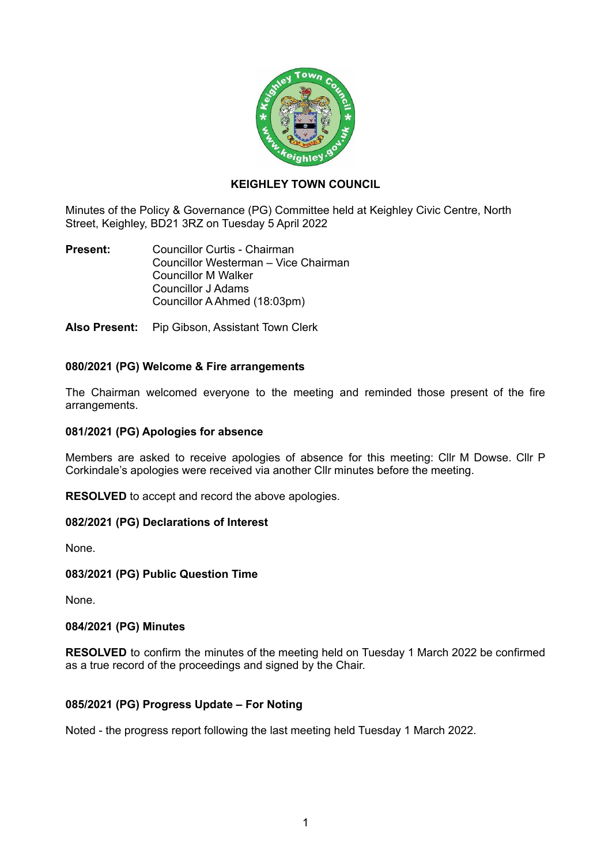

# **KEIGHLEY TOWN COUNCIL**

Minutes of the Policy & Governance (PG) Committee held at Keighley Civic Centre, North Street, Keighley, BD21 3RZ on Tuesday 5 April 2022

**Present:** Councillor Curtis - Chairman Councillor Westerman – Vice Chairman Councillor M Walker Councillor J Adams Councillor A Ahmed (18:03pm)

**Also Present:** Pip Gibson, Assistant Town Clerk

# **080/2021 (PG) Welcome & Fire arrangements**

The Chairman welcomed everyone to the meeting and reminded those present of the fire arrangements.

## **081/2021 (PG) Apologies for absence**

Members are asked to receive apologies of absence for this meeting: Cllr M Dowse. Cllr P Corkindale's apologies were received via another Cllr minutes before the meeting.

**RESOLVED** to accept and record the above apologies.

## **082/2021 (PG) Declarations of Interest**

None.

## **083/2021 (PG) Public Question Time**

None.

#### **084/2021 (PG) Minutes**

**RESOLVED** to confirm the minutes of the meeting held on Tuesday 1 March 2022 be confirmed as a true record of the proceedings and signed by the Chair.

## **085/2021 (PG) Progress Update – For Noting**

Noted - the progress report following the last meeting held Tuesday 1 March 2022.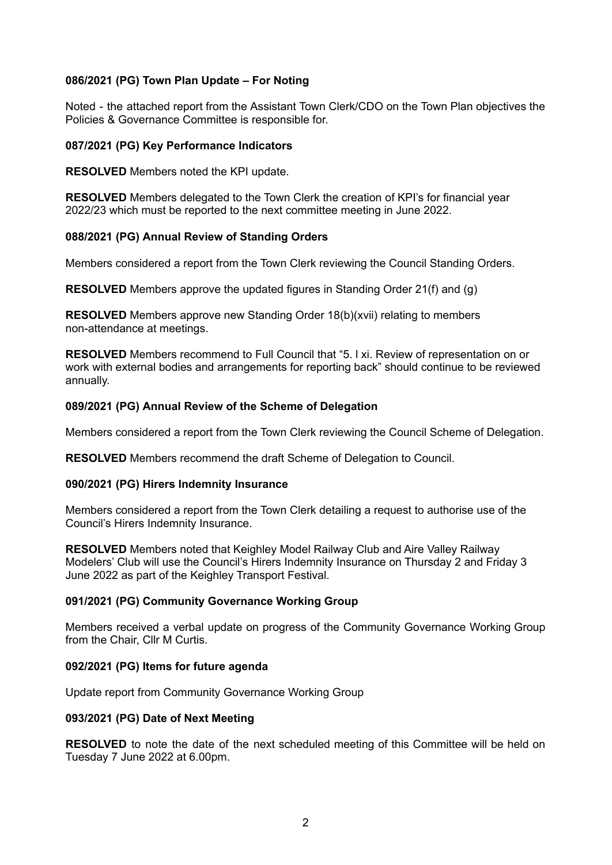## **086/2021 (PG) Town Plan Update – For Noting**

Noted - the attached report from the Assistant Town Clerk/CDO on the Town Plan objectives the Policies & Governance Committee is responsible for.

## **087/2021 (PG) Key Performance Indicators**

**RESOLVED** Members noted the KPI update.

**RESOLVED** Members delegated to the Town Clerk the creation of KPI's for financial year 2022/23 which must be reported to the next committee meeting in June 2022.

#### **088/2021 (PG) Annual Review of Standing Orders**

Members considered a report from the Town Clerk reviewing the Council Standing Orders.

**RESOLVED** Members approve the updated figures in Standing Order 21(f) and (g)

**RESOLVED** Members approve new Standing Order 18(b)(xvii) relating to members non-attendance at meetings.

**RESOLVED** Members recommend to Full Council that "5. l xi. Review of representation on or work with external bodies and arrangements for reporting back" should continue to be reviewed annually.

#### **089/2021 (PG) Annual Review of the Scheme of Delegation**

Members considered a report from the Town Clerk reviewing the Council Scheme of Delegation.

**RESOLVED** Members recommend the draft Scheme of Delegation to Council.

#### **090/2021 (PG) Hirers Indemnity Insurance**

Members considered a report from the Town Clerk detailing a request to authorise use of the Council's Hirers Indemnity Insurance.

**RESOLVED** Members noted that Keighley Model Railway Club and Aire Valley Railway Modelers' Club will use the Council's Hirers Indemnity Insurance on Thursday 2 and Friday 3 June 2022 as part of the Keighley Transport Festival.

## **091/2021 (PG) Community Governance Working Group**

Members received a verbal update on progress of the Community Governance Working Group from the Chair, Cllr M Curtis.

## **092/2021 (PG) Items for future agenda**

Update report from Community Governance Working Group

#### **093/2021 (PG) Date of Next Meeting**

**RESOLVED** to note the date of the next scheduled meeting of this Committee will be held on Tuesday 7 June 2022 at 6.00pm.